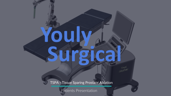**Youly**

**Surgical**

TSPA - Tissue Sparing Prostate Ablation

#### Patients Presentation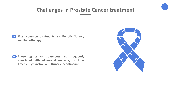

## **Challenges in Prostate Cancer treatment**



**Those aggressive treatments are frequently associated with adverse side-effects, such as Erectile Dysfunction and Urinary Incontinence.**

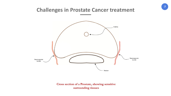

#### **Challenges in Prostate Cancer treatment**



#### Cross section of a Prostate, showing sensitive surrounding tissues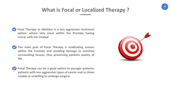

## **What is Focal or Localized Therapy ?**

- 
- **Focal Therapy or Ablation is a less aggressive treatment option, where only areas within the Prostate having cancer cells are treated.**
- **The main goal of Focal Therapy is eradicating tumors within the Prostate and avoiding damage to sensitive surrounding tissues, thus preserving patients quality of life.**
- **Focal Therapy can be a good option to younger patients, patients with less aggressive types of cancer and to those unable or unwilling to undergo surgery.**

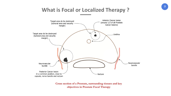

### **What is Focal or Localized Therapy ?**



Cross section of a Prostate, surrounding tissues and key objectives in Prostate Focal Therapy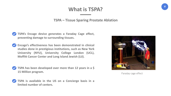

### **What is TSPA?**

Faraday cage effect

**TSPA – Tissue Sparing Prostate Ablation**





- **Encage's effectiveness has been demonstrated in clinical studies done in prestigious institutions, such as New York University (NYU), University College London (UCL), Moffitt Cancer Center and Long Island Jewish (LIJ).**
- **TSPA has been developed over more than 12 years in a \$ 15 Million program.**



**TSPA is available in the US on a Concierge basis in a limited number of centers.**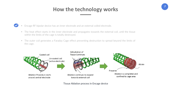

# **How the technology works**



- Encage RF bipolar device has an inner electrode and an external coiled electrode.
- The heat effect starts in the inner electrode and propagates towards the external coil, until the tissue within the limits of the cage is totally destroyed.
- The outer coil generates a Faraday Cage effect preventing destruction to spread beyond the limits of the cage.



Tissue Ablation process in Encage device